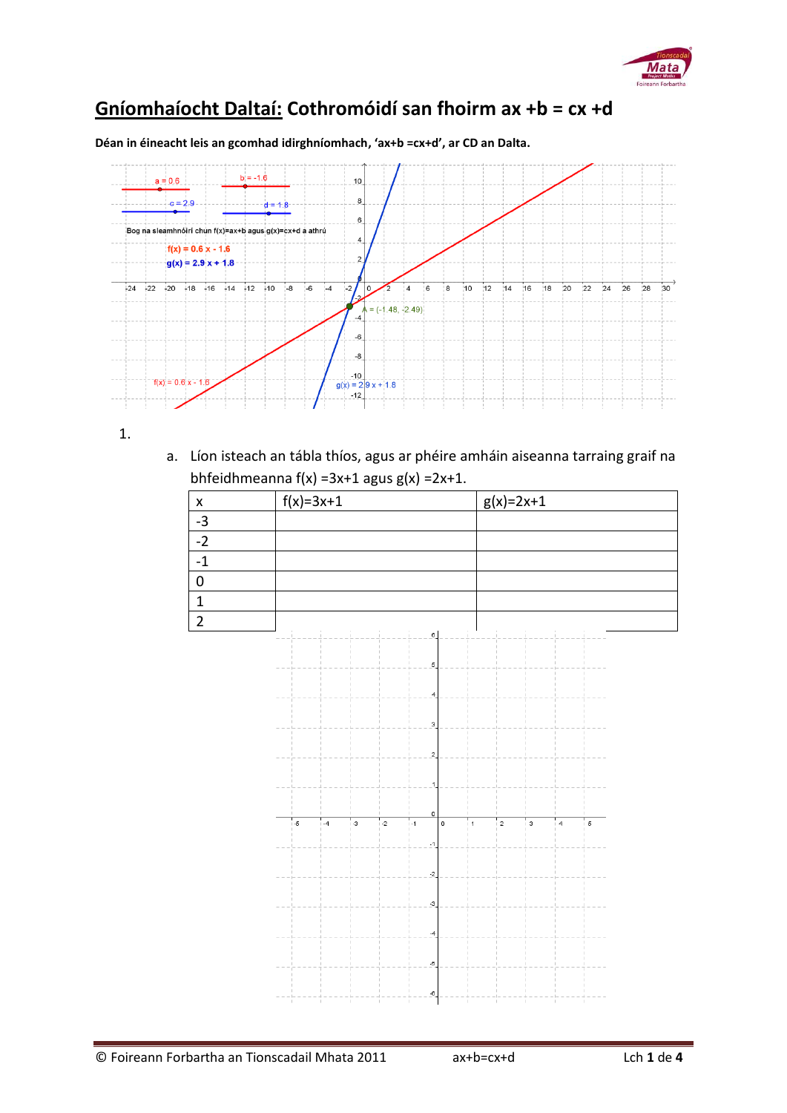

## **Gníomhaíocht Daltaí: Cothromóidí san fhoirm ax +b = cx +d**

**Déan in éineacht leis an gcomhad idirghníomhach, 'ax+b =cx+d', ar CD an Dalta.**



1.

a. Líon isteach an tábla thíos, agus ar phéire amháin aiseanna tarraing graif na bhfeidhmeanna f(x) =3x+1 agus  $g(x)$  =2x+1.

| $\cdot$ $\cdot$ |             |             |
|-----------------|-------------|-------------|
| x               | $f(x)=3x+1$ | $g(x)=2x+1$ |
| $-3$            |             |             |
| $-2$            |             |             |
|                 |             |             |
|                 |             |             |
|                 |             |             |
|                 |             |             |

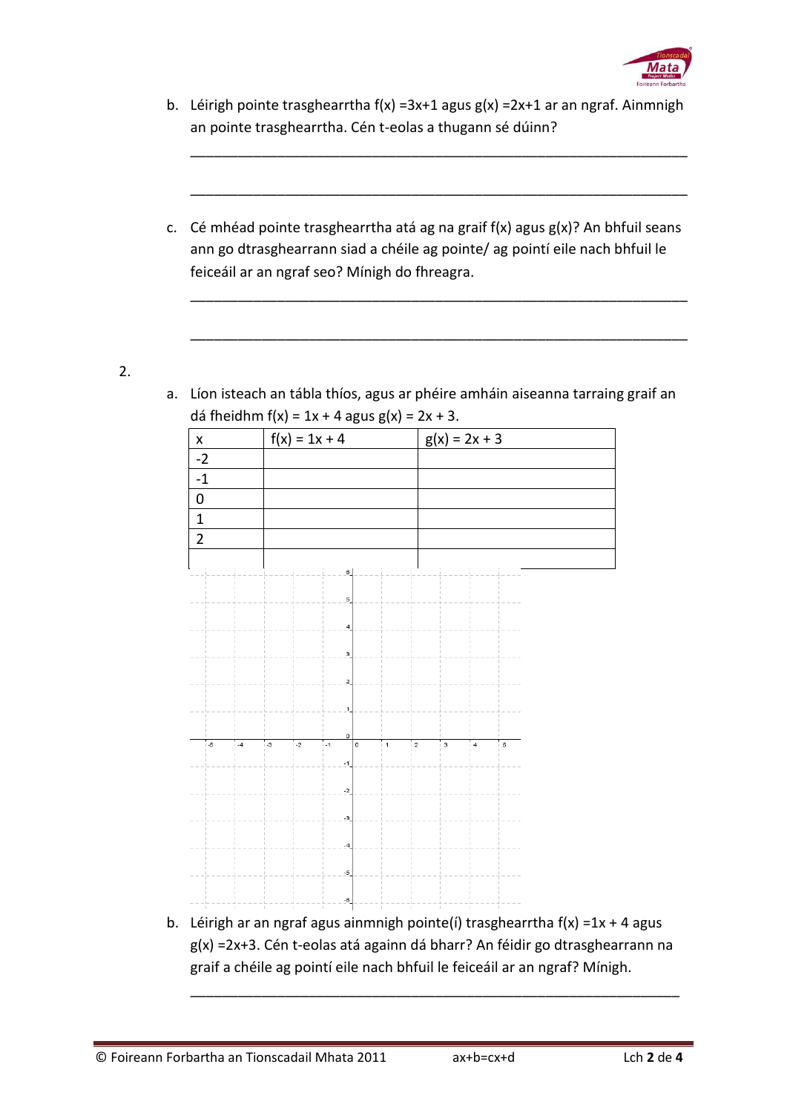

b. Léirigh pointe trasghearrtha f(x) =3x+1 agus g(x) =2x+1 ar an ngraf. Ainmnigh an pointe trasghearrtha. Cén t-eolas a thugann sé dúinn?

\_\_\_\_\_\_\_\_\_\_\_\_\_\_\_\_\_\_\_\_\_\_\_\_\_\_\_\_\_\_\_\_\_\_\_\_\_\_\_\_\_\_\_\_\_\_\_\_\_\_\_\_\_\_\_\_\_\_\_\_\_\_\_

\_\_\_\_\_\_\_\_\_\_\_\_\_\_\_\_\_\_\_\_\_\_\_\_\_\_\_\_\_\_\_\_\_\_\_\_\_\_\_\_\_\_\_\_\_\_\_\_\_\_\_\_\_\_\_\_\_\_\_\_\_\_\_

\_\_\_\_\_\_\_\_\_\_\_\_\_\_\_\_\_\_\_\_\_\_\_\_\_\_\_\_\_\_\_\_\_\_\_\_\_\_\_\_\_\_\_\_\_\_\_\_\_\_\_\_\_\_\_\_\_\_\_\_\_\_\_

\_\_\_\_\_\_\_\_\_\_\_\_\_\_\_\_\_\_\_\_\_\_\_\_\_\_\_\_\_\_\_\_\_\_\_\_\_\_\_\_\_\_\_\_\_\_\_\_\_\_\_\_\_\_\_\_\_\_\_\_\_\_\_

c. Cé mhéad pointe trasghearrtha atá ag na graif f(x) agus g(x)? An bhfuil seans ann go dtrasghearrann siad a chéile ag pointe/ ag pointí eile nach bhfuil le feiceáil ar an ngraf seo? Mínigh do fhreagra.

2.

- x  $|f(x) = 1x + 4$   $|g(x) = 2x + 3$ -2 -1 0 1 2
- a. Líon isteach an tábla thíos, agus ar phéire amháin aiseanna tarraing graif an dá fheidhm f(x) =  $1x + 4$  agus g(x) =  $2x + 3$ .

b. Léirigh ar an ngraf agus ainmnigh pointe(í) trasghearrtha  $f(x) = 1x + 4$  agus g(x) =2x+3. Cén t-eolas atá againn dá bharr? An féidir go dtrasghearrann na graif a chéile ag pointí eile nach bhfuil le feiceáil ar an ngraf? Mínigh.

\_\_\_\_\_\_\_\_\_\_\_\_\_\_\_\_\_\_\_\_\_\_\_\_\_\_\_\_\_\_\_\_\_\_\_\_\_\_\_\_\_\_\_\_\_\_\_\_\_\_\_\_\_\_\_\_\_\_\_\_\_\_

 $\overline{\phantom{a}}$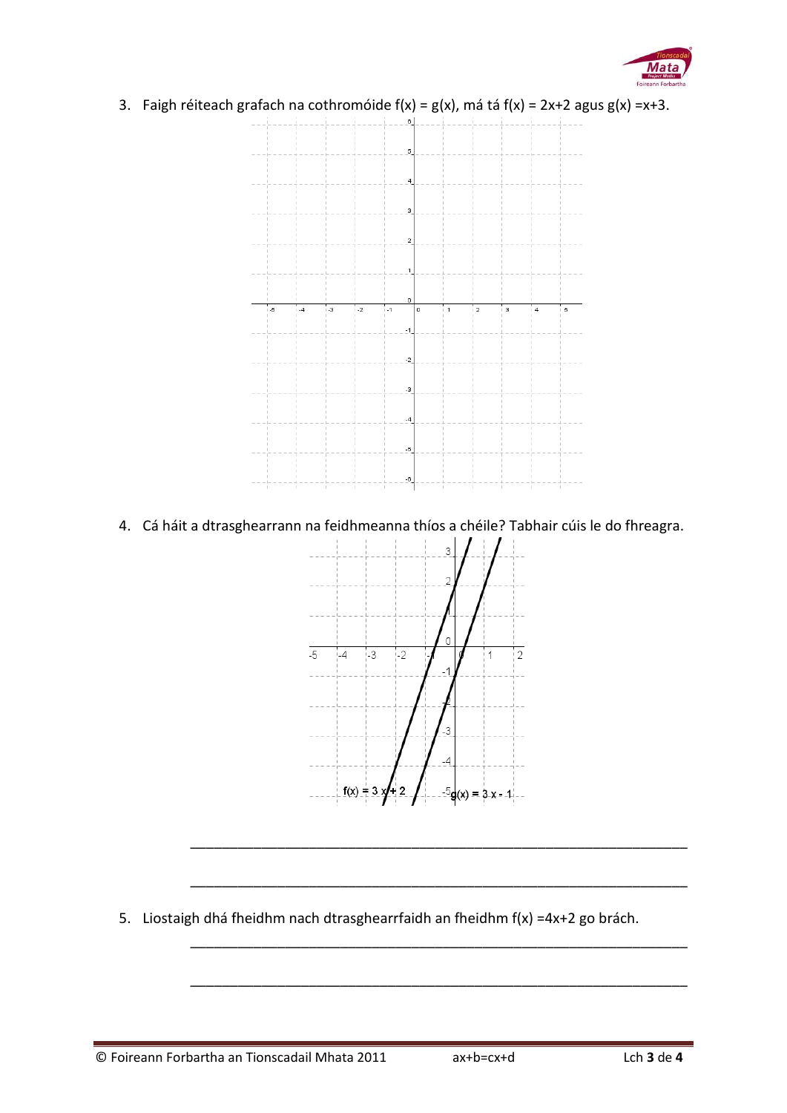

3. Faigh réiteach grafach na cothromóide  $f(x) = g(x)$ , má tá  $f(x) = 2x+2$  agus  $g(x) = x+3$ .



4. Cá háit a dtrasghearrann na feidhmeanna thíos a chéile? Tabhair cúis le do fhreagra.



\_\_\_\_\_\_\_\_\_\_\_\_\_\_\_\_\_\_\_\_\_\_\_\_\_\_\_\_\_\_\_\_\_\_\_\_\_\_\_\_\_\_\_\_\_\_\_\_\_\_\_\_\_\_\_\_\_\_\_\_\_\_\_

\_\_\_\_\_\_\_\_\_\_\_\_\_\_\_\_\_\_\_\_\_\_\_\_\_\_\_\_\_\_\_\_\_\_\_\_\_\_\_\_\_\_\_\_\_\_\_\_\_\_\_\_\_\_\_\_\_\_\_\_\_\_\_

\_\_\_\_\_\_\_\_\_\_\_\_\_\_\_\_\_\_\_\_\_\_\_\_\_\_\_\_\_\_\_\_\_\_\_\_\_\_\_\_\_\_\_\_\_\_\_\_\_\_\_\_\_\_\_\_\_\_\_\_\_\_\_

\_\_\_\_\_\_\_\_\_\_\_\_\_\_\_\_\_\_\_\_\_\_\_\_\_\_\_\_\_\_\_\_\_\_\_\_\_\_\_\_\_\_\_\_\_\_\_\_\_\_\_\_\_\_\_\_\_\_\_\_\_\_\_

5. Liostaigh dhá fheidhm nach dtrasghearrfaidh an fheidhm f(x) =4x+2 go brách.